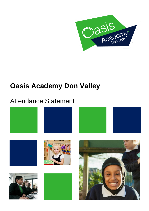

# **Oasis Academy Don Valley**

## Attendance Statement











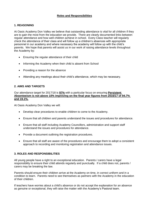#### **Roles and Responsibilities**

#### **1. REASONING**

At Oasis Academy Don Valley we believe that outstanding attendance is vital for all children if they are to gain the most from the education we provide. There are clearly documented links between regular attendance and how well children achieve in school. Every Class teacher will regularly check the attendance of their class and will follow up a children's absences with appropriate personnel in our academy and where necessary the academy will follow up with the child's parents. We hope that parents will assist us in our work of raising attendance levels throughout the Academy by:

- Ensuring the regular attendance of their child
- Informing the Academy when their child is absent from School
- Providing a reason for the absence
- Attending any meetings about their child's attendance, which may be necessary.

#### **2. AIMS AND TARGETS**

Our attendance target for 2017/18 is **97%** with a particular focus on ensuring **Persistent Absenteeism is not above 10% improving on the final year figures from 2016/17 of 94.7% and 19.1%.**

At Oasis Academy Don Valley we will:

- Develop clear procedures to enable children to come to the Academy.
- Ensure that all children and parents understand the issues and procedures for attendance.
- Ensure that all staff including Academy Councillors, administration and support staff understand the issues and procedures for attendance.
- Provide a document outlining the registration procedures.
- Ensure that all staff are aware of the procedures and encourage them to adopt a consistent approach to recording and monitoring registration and attendance issues.

#### **3. ROLES AND RESPONSIBILITIES**

All young people have a right to an exceptional education. Parents / carers have a legal responsibility to ensure their child attends regularly and punctually. If a child does not, parents / carers may be breaking the law.

Parents should ensure their children arrive at the Academy on time, in correct uniform and in a condition to learn. Parents need to see themselves as partners with the Academy in the education of their children.

If teachers have worries about a child's absence or do not accept the explanation for an absence as genuine or exceptional, they will raise the matter with the Academy's Pastoral team.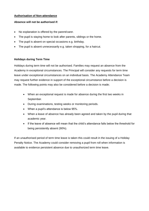#### **Authorisation of Non-attendance**

#### **Absence will not be authorised if:**

- No explanation is offered by the parent/carer.
- The pupil is staying home to look after parents, siblings or the home.
- The pupil is absent on special occasions e.g. birthday.
- The pupil is absent unnecessarily e.g. taken shopping, for a haircut.

#### **Holidays during Term Time**

Holidays during term time will not be authorised. Families may request an absence from the Academy in exceptional circumstances. The Principal will consider any requests for term time leave under exceptional circumstances on an individual basis. The Academy Attendance Team may request further evidence in support of the exceptional circumstance before a decision is made. The following points may also be considered before a decision is made;

- When an exceptional request is made for absence during the first two weeks in September.
- During examinations, testing weeks or monitoring periods.
- When a pupil's attendance is below 95%.
- When a leave of absence has already been agreed and taken by the pupil during that academic year.
- If the leave of absence will mean that the child's attendance falls below the threshold for being persistently absent (90%).

If an unauthorised period of term time leave is taken this could result in the issuing of a Holiday Penalty Notice. The Academy could consider removing a pupil from roll when information is available to evidence persistent absence due to unauthorized term time leave.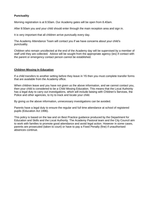#### **Punctuality**

Morning registration is at 8.50am. Our Academy gates will be open from 8.40am.

After 8:50am you and your child should enter through the main reception area and sign in.

It is very important that all children arrive punctually every day.

The Academy Attendance Team will contact you if we have concerns about your child's punctuality.

Children who remain uncollected at the end of the Academy day will be supervised by a member of staff until they are collected. Advice will be sought from the appropriate agency (ies) if contact with the parent or emergency contact person cannot be established.

#### **Children Missing In Education**

If a child transfers to another setting before they leave in Y6 then you must complete transfer forms that are available from the Academy office.

When children leave and you have not given us the above information, and we cannot contact you, then your child is considered to be a Child Missing Education. This means that the Local Authority has a legal duty to carry out investigations, which will include liaising with Children's Services, the Police and other agencies, to try to track and locate your child.

By giving us the above information, unnecessary investigations can be avoided.

Parents have a legal duty to ensure the regular and full time attendance at school of registered pupils (Education Act 1996).

This policy is based on the law and on Best Practice guidance produced by the Department for Education and Skills and the Local Authority. The Academy Pastoral team and the City Council aim to work with families to promote good attendance and avoid legal action. However in some cases, parents are prosecuted (taken to court) or have to pay a Fixed Penalty (fine) if unauthorised absences continue.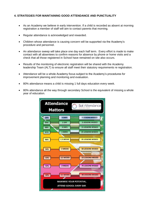#### **4. STRATEGIES FOR MAINTAINING GOOD ATTENDANCE AND PUNCTUALITY**

- As an Academy we believe in early intervention. If a child is recorded as absent at morning registration a member of staff will aim to contact parents that morning.
- Regular attendance is acknowledged and rewarded.
- Children whose attendance is causing concern will be supported via the Academy's procedure and personnel.
- An attendance sweep will take place one day each half term. Every effort is made to make contact with all absentees to confirm reasons for absence by phone or home visits and a check that all those registered in School have remained on site also occurs.
- Results of the monitoring of electronic registration will be shared with the Academy leadership Team (ALT) to ensure all staff meet their statutory requirements re registration.
- Attendance will be a whole Academy focus subject to the Academy's procedures for improvement planning and monitoring and evaluation.
- 80% attendance means a child is missing 1 full days education every week.
- 80% attendance all the way through secondary School is the equivalent of missing a whole year of education.

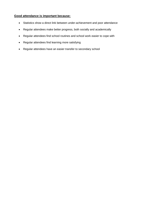### **Good attendance is important because:**

- Statistics show a direct link between under-achievement and poor attendance
- Regular attendees make better progress, both socially and academically
- Regular attendees find school routines and school work easier to cope with
- Regular attendees find learning more satisfying
- Regular attendees have an easier transfer to secondary school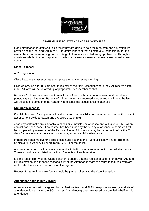#### **STAFF GUIDE TO ATTENDANCE PROCEDURES.**

Good attendance is vital for all children if they are going to gain the most from the education we provide and the learning you impart. It is vitally important that all staff take responsibility for their role in the accurate recording and reporting of attendance and following up absence. Through a consistent whole Academy approach to attendance we can ensure that every lesson really does count.

#### **Class Teacher:**

#### A.M. Registration:

Class Teachers must accurately complete the register every morning.

Children arriving after 8.50am should register at the Main reception where they will receive a late mark. All lates will be followed up appropriately by a member of staff.

Parents of children who are late 3 times in a half term without a genuine reason will receive a punctuality warning letter. Parents of children who have received a letter and continue to be late, will be asked to come into the Academy to discuss the issues causing lateness

#### **Children's absence:**

If a child is absent for any reason it is the parents responsibility to contact school on the first day of absence to provide a reason and expected date of return.

Academy staff make first day calls to check any unexplained absence and will update SIMS when contact has been made. If no contact has been made by the 3<sup>rd</sup> day of absence, a home visit will be completed by a member of the Pastoral Team. A home visit may be carried out before the 3<sup>rd</sup> day of absence where there are concerns regarding a child's attendance.

If there are concerns over the child's continued absence the Pastoral Team will refer this to the Sheffield Multi Agency Support Team (MAST) or the police.

Accurate recording of all registers is essential to fulfil our legal requirement to record attendance. These should be completed in the first 10 minutes of each session.

It is the responsibility of the Class Teacher to ensure that the register is taken promptly for AM and PM registration. It is then the responsibility of the Attendance team to ensure that all registers are up to date, there should be no N's on the register.

Request for term time leave forms should be passed directly to the Main Reception.

#### **Attendance actions by % group:**

Attendance actions will be agreed by the Pastoral team and ALT in response to weekly analysis of attendance figures using the SOL tracker. Attendance groups are based on cumulative half termly attendance.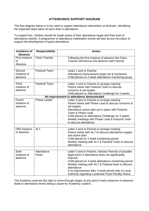#### **ATTENDANCE SUPPORT DIAGRAM**

The flow diagram below is to be used to support attendance intervention at all levels, identifying the expected steps taken at each drop in attendance.

To support this, children should be made aware of their attendance target and their level of attendance weekly. A programme of attendance celebration events will also be put into place to support the development of good attendance.

| Incidence of<br><b>Absence</b>            | <b>Responsibility</b> | <b>Action</b>                                                                                                                                                                                                                                                                                                                                                                                      |  |
|-------------------------------------------|-----------------------|----------------------------------------------------------------------------------------------------------------------------------------------------------------------------------------------------------------------------------------------------------------------------------------------------------------------------------------------------------------------------------------------------|--|
| <b>First Instance</b><br>оf<br>Absence    | <b>Class Teacher</b>  | Following the first instance of absence the Class<br>Teacher will discuss the absence with Parents                                                                                                                                                                                                                                                                                                 |  |
|                                           |                       |                                                                                                                                                                                                                                                                                                                                                                                                    |  |
| Second<br>Instance of<br>absence          | <b>Pastoral Team</b>  | Letter 1 sent to Parents<br>Attendance Improvement target set & monitored<br>Child placed on 2 week attendance monitoring group                                                                                                                                                                                                                                                                    |  |
| Third                                     | <b>Pastoral Team</b>  |                                                                                                                                                                                                                                                                                                                                                                                                    |  |
| Instance of<br>absence                    |                       | Letter 2 sent to Parents to arrange meeting<br>$\overline{\phantom{0}}$<br>Parent meets with Pastoral Team to discuss<br>$\overline{a}$<br>concerns & set targets<br>Child placed on Attendance Challenge for 3 weeks                                                                                                                                                                              |  |
| No Improvement in attendance demonstrated |                       |                                                                                                                                                                                                                                                                                                                                                                                                    |  |
| Fourth<br>Instance of<br>absence          | <b>Phase Leader</b>   | Letter 3 sent to Parents to arrange meeting<br>Parent meets with Phase Lead to discuss concerns &<br>set targets.<br>Attendance action plan put in place with Pastoral<br>Team & Phase Lead.<br>Child placed on Attendance Challenge for 3 weeks<br>Weekly meetings with Phase Lead & Pastoral Team<br>to discuss attendance                                                                       |  |
|                                           |                       |                                                                                                                                                                                                                                                                                                                                                                                                    |  |
| <b>Fifth Instance</b><br>of absence       | <b>ALT</b>            | Letter 4 sent to Parents to arrange meeting<br>$\overline{\phantom{a}}$<br>Parent meets with ALT to discuss attendance targets<br>and action plan.<br>Child placed on 2 week monitoring period<br>Weekly meeting with ALT & Pastoral Team to discuss<br>attendance.                                                                                                                                |  |
|                                           |                       |                                                                                                                                                                                                                                                                                                                                                                                                    |  |
| <b>Sixth</b><br>Instance of<br>absence    | Attendance<br>Panel   | Letter 5 sent to Parents. Advises Parents of possible<br>legal action if attendance does not significantly<br>improve.<br>Child placed on 3 week attendance monitoring period<br>$\qquad \qquad \blacksquare$<br>Weekly meeting with ALT & Pastoral team to discuss<br>attendance<br>If no improvement after 3 week period refer to Local<br>Authority regarding a potential Fixed Penalty Notice. |  |

The Academy reserves the right to move through stages at any point if early instances of absence leads to attendance levels being a cause for Academy Leaders.